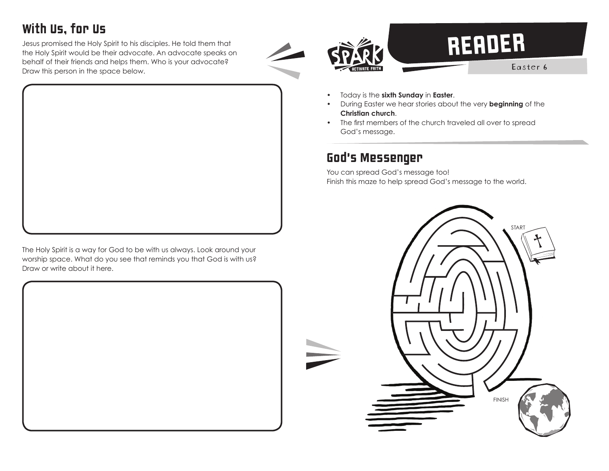### With Us, for Us

Jesus promised the Holy Spirit to his disciples. He told them that the Holy Spirit would be their advocate. An advocate speaks on behalf of their friends and helps them. Who is your advocate? Draw this person in the space below.



The Holy Spirit is a way for God to be with us always. Look around your worship space. What do you see that reminds you that God is with us? Draw or write about it here.





# READER

Easter 6

- Today is the **sixth Sunday** in **Easter**.
- During Easter we hear stories about the very **beginning** of the **Christian church**.
- The first members of the church traveled all over to spread God's message.

#### God's Messenger

You can spread God's message too! Finish this maze to help spread God's message to the world.